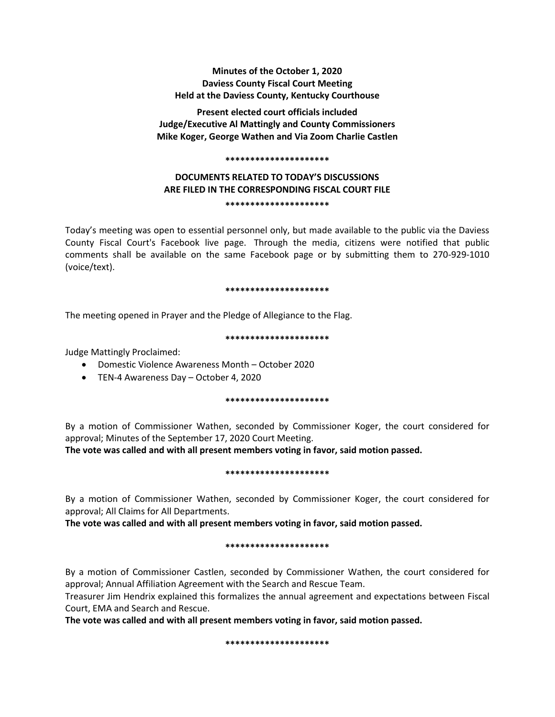## **Minutes of the October 1, 2020 Daviess County Fiscal Court Meeting Held at the Daviess County, Kentucky Courthouse**

**Present elected court officials included Judge/Executive Al Mattingly and County Commissioners Mike Koger, George Wathen and Via Zoom Charlie Castlen**

#### **\*\*\*\*\*\*\*\*\*\*\*\*\*\*\*\*\*\*\*\*\***

# **DOCUMENTS RELATED TO TODAY'S DISCUSSIONS ARE FILED IN THE CORRESPONDING FISCAL COURT FILE \*\*\*\*\*\*\*\*\*\*\*\*\*\*\*\*\*\*\*\*\***

Today's meeting was open to essential personnel only, but made available to the public via the Daviess County Fiscal Court's Facebook live page. Through the media, citizens were notified that public comments shall be available on the same Facebook page or by submitting them to 270-929-1010 (voice/text).

#### **\*\*\*\*\*\*\*\*\*\*\*\*\*\*\*\*\*\*\*\*\***

The meeting opened in Prayer and the Pledge of Allegiance to the Flag.

#### **\*\*\*\*\*\*\*\*\*\*\*\*\*\*\*\*\*\*\*\*\***

Judge Mattingly Proclaimed:

- Domestic Violence Awareness Month October 2020
- TEN-4 Awareness Day October 4, 2020

## **\*\*\*\*\*\*\*\*\*\*\*\*\*\*\*\*\*\*\*\*\***

By a motion of Commissioner Wathen, seconded by Commissioner Koger, the court considered for approval; Minutes of the September 17, 2020 Court Meeting.

**The vote was called and with all present members voting in favor, said motion passed.** 

#### **\*\*\*\*\*\*\*\*\*\*\*\*\*\*\*\*\*\*\*\*\***

By a motion of Commissioner Wathen, seconded by Commissioner Koger, the court considered for approval; All Claims for All Departments.

**The vote was called and with all present members voting in favor, said motion passed.** 

#### **\*\*\*\*\*\*\*\*\*\*\*\*\*\*\*\*\*\*\*\*\***

By a motion of Commissioner Castlen, seconded by Commissioner Wathen, the court considered for approval; Annual Affiliation Agreement with the Search and Rescue Team.

Treasurer Jim Hendrix explained this formalizes the annual agreement and expectations between Fiscal Court, EMA and Search and Rescue.

**The vote was called and with all present members voting in favor, said motion passed.**

**\*\*\*\*\*\*\*\*\*\*\*\*\*\*\*\*\*\*\*\*\***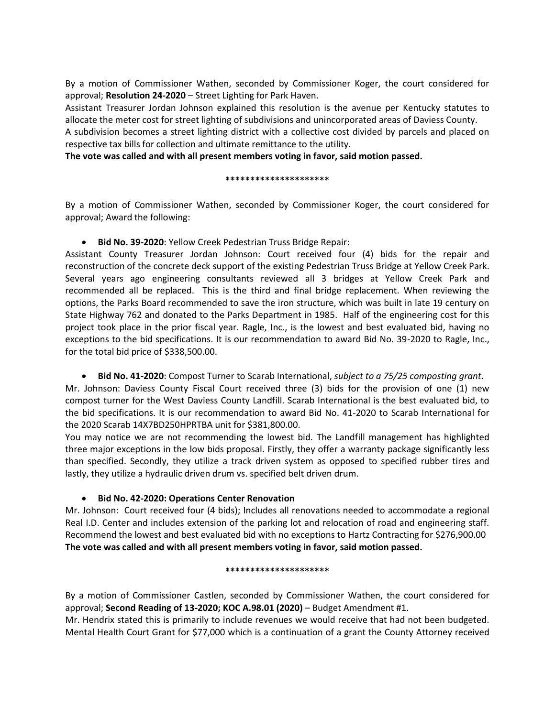By a motion of Commissioner Wathen, seconded by Commissioner Koger, the court considered for approval; **Resolution 24-2020** – Street Lighting for Park Haven.

Assistant Treasurer Jordan Johnson explained this resolution is the avenue per Kentucky statutes to allocate the meter cost for street lighting of subdivisions and unincorporated areas of Daviess County.

A subdivision becomes a street lighting district with a collective cost divided by parcels and placed on respective tax bills for collection and ultimate remittance to the utility.

**The vote was called and with all present members voting in favor, said motion passed.**

## **\*\*\*\*\*\*\*\*\*\*\*\*\*\*\*\*\*\*\*\*\***

By a motion of Commissioner Wathen, seconded by Commissioner Koger, the court considered for approval; Award the following:

**Bid No. 39-2020**: Yellow Creek Pedestrian Truss Bridge Repair:

Assistant County Treasurer Jordan Johnson: Court received four (4) bids for the repair and reconstruction of the concrete deck support of the existing Pedestrian Truss Bridge at Yellow Creek Park. Several years ago engineering consultants reviewed all 3 bridges at Yellow Creek Park and recommended all be replaced. This is the third and final bridge replacement. When reviewing the options, the Parks Board recommended to save the iron structure, which was built in late 19 century on State Highway 762 and donated to the Parks Department in 1985. Half of the engineering cost for this project took place in the prior fiscal year. Ragle, Inc., is the lowest and best evaluated bid, having no exceptions to the bid specifications. It is our recommendation to award Bid No. 39-2020 to Ragle, Inc., for the total bid price of \$338,500.00.

## **Bid No. 41-2020**: Compost Turner to Scarab International, *subject to a 75/25 composting grant*.

Mr. Johnson: Daviess County Fiscal Court received three (3) bids for the provision of one (1) new compost turner for the West Daviess County Landfill. Scarab International is the best evaluated bid, to the bid specifications. It is our recommendation to award Bid No. 41-2020 to Scarab International for the 2020 Scarab 14X7BD250HPRTBA unit for \$381,800.00.

You may notice we are not recommending the lowest bid. The Landfill management has highlighted three major exceptions in the low bids proposal. Firstly, they offer a warranty package significantly less than specified. Secondly, they utilize a track driven system as opposed to specified rubber tires and lastly, they utilize a hydraulic driven drum vs. specified belt driven drum.

# **Bid No. 42-2020: Operations Center Renovation**

Mr. Johnson: Court received four (4 bids); Includes all renovations needed to accommodate a regional Real I.D. Center and includes extension of the parking lot and relocation of road and engineering staff. Recommend the lowest and best evaluated bid with no exceptions to Hartz Contracting for \$276,900.00 **The vote was called and with all present members voting in favor, said motion passed.**

## **\*\*\*\*\*\*\*\*\*\*\*\*\*\*\*\*\*\*\*\*\***

By a motion of Commissioner Castlen, seconded by Commissioner Wathen, the court considered for approval; **Second Reading of 13-2020; KOC A.98.01 (2020)** – Budget Amendment #1.

Mr. Hendrix stated this is primarily to include revenues we would receive that had not been budgeted. Mental Health Court Grant for \$77,000 which is a continuation of a grant the County Attorney received